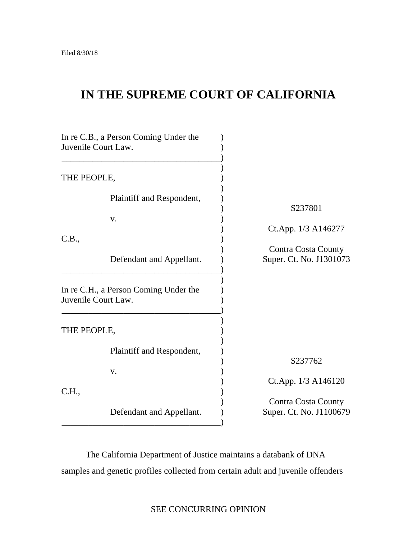# **IN THE SUPREME COURT OF CALIFORNIA**

| In re C.B., a Person Coming Under the<br>Juvenile Court Law. |                                                              |                                                       |
|--------------------------------------------------------------|--------------------------------------------------------------|-------------------------------------------------------|
| THE PEOPLE,                                                  |                                                              |                                                       |
|                                                              | Plaintiff and Respondent,<br>V.                              | S237801                                               |
| C.B.,                                                        |                                                              | Ct.App. 1/3 A146277                                   |
|                                                              | Defendant and Appellant.                                     | Contra Costa County<br>Super. Ct. No. J1301073        |
|                                                              | In re C.H., a Person Coming Under the<br>Juvenile Court Law. |                                                       |
| THE PEOPLE,                                                  |                                                              |                                                       |
|                                                              | Plaintiff and Respondent,                                    | S237762                                               |
|                                                              | V.                                                           | Ct.App. 1/3 A146120                                   |
| C.H.,                                                        | Defendant and Appellant.                                     | <b>Contra Costa County</b><br>Super. Ct. No. J1100679 |
|                                                              |                                                              |                                                       |

The California Department of Justice maintains a databank of DNA samples and genetic profiles collected from certain adult and juvenile offenders

SEE CONCURRING OPINION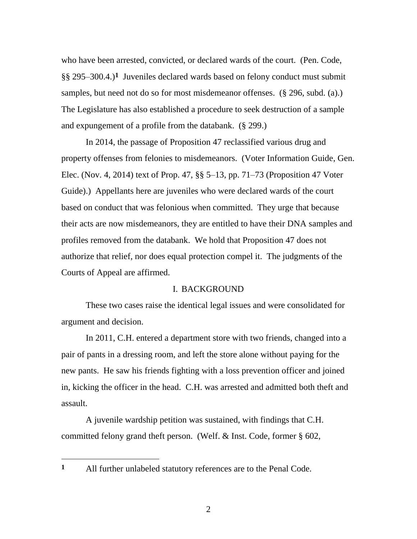§§ 295–300.4.)**1** Juveniles declared wards based on felony conduct must submit who have been arrested, convicted, or declared wards of the court. (Pen. Code, samples, but need not do so for most misdemeanor offenses. (§ 296, subd. (a).) The Legislature has also established a procedure to seek destruction of a sample and expungement of a profile from the databank. (§ 299.)

 Guide).) Appellants here are juveniles who were declared wards of the court authorize that relief, nor does equal protection compel it. The judgments of the In 2014, the passage of Proposition 47 reclassified various drug and property offenses from felonies to misdemeanors. (Voter Information Guide, Gen. Elec. (Nov. 4, 2014) text of Prop. 47, §§ 5–13, pp. 71‒73 (Proposition 47 Voter based on conduct that was felonious when committed. They urge that because their acts are now misdemeanors, they are entitled to have their DNA samples and profiles removed from the databank. We hold that Proposition 47 does not Courts of Appeal are affirmed.

### I. BACKGROUND

These two cases raise the identical legal issues and were consolidated for argument and decision.

In 2011, C.H. entered a department store with two friends, changed into a pair of pants in a dressing room, and left the store alone without paying for the new pants. He saw his friends fighting with a loss prevention officer and joined in, kicking the officer in the head. C.H. was arrested and admitted both theft and assault.

A juvenile wardship petition was sustained, with findings that C.H. committed felony grand theft person. (Welf. & Inst. Code, former § 602,

All further unlabeled statutory references are to the Penal Code. **1** 

 $\overline{a}$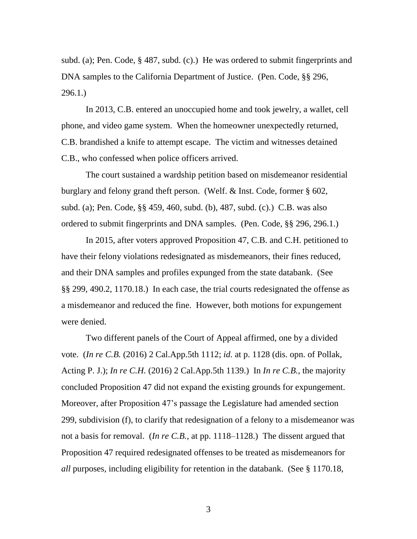subd. (a); Pen. Code,  $\S$  487, subd. (c).) He was ordered to submit fingerprints and DNA samples to the California Department of Justice. (Pen. Code, §§ 296, 296.1.)

In 2013, C.B. entered an unoccupied home and took jewelry, a wallet, cell phone, and video game system. When the homeowner unexpectedly returned, C.B. brandished a knife to attempt escape. The victim and witnesses detained C.B., who confessed when police officers arrived.

The court sustained a wardship petition based on misdemeanor residential burglary and felony grand theft person. (Welf. & Inst. Code, former § 602, subd. (a); Pen. Code, §§ 459, 460, subd. (b), 487, subd. (c).) C.B. was also ordered to submit fingerprints and DNA samples. (Pen. Code, §§ 296, 296.1.)

 and their DNA samples and profiles expunged from the state databank. (See In 2015, after voters approved Proposition 47, C.B. and C.H. petitioned to have their felony violations redesignated as misdemeanors, their fines reduced, §§ 299, 490.2, 1170.18.) In each case, the trial courts redesignated the offense as a misdemeanor and reduced the fine. However, both motions for expungement were denied.

 not a basis for removal. (*In re C.B.*, at pp. 1118–1128.) The dissent argued that *all* purposes, including eligibility for retention in the databank. (See § 1170.18, Two different panels of the Court of Appeal affirmed, one by a divided vote. (*In re C.B.* (2016) 2 Cal.App.5th 1112; *id.* at p. 1128 (dis. opn. of Pollak, Acting P. J.); *In re C.H.* (2016) 2 Cal.App.5th 1139.) In *In re C.B.*, the majority concluded Proposition 47 did not expand the existing grounds for expungement. Moreover, after Proposition 47's passage the Legislature had amended section 299, subdivision (f), to clarify that redesignation of a felony to a misdemeanor was Proposition 47 required redesignated offenses to be treated as misdemeanors for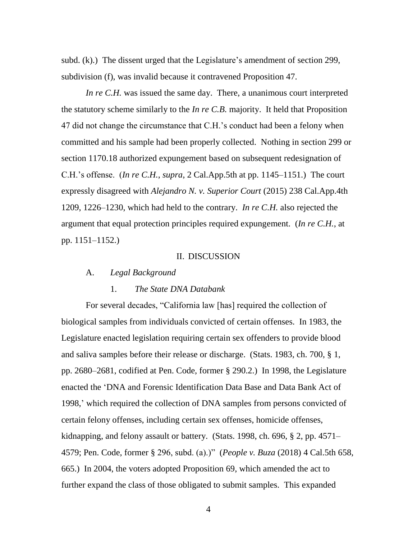subd. (k).) The dissent urged that the Legislature's amendment of section 299, subdivision (f), was invalid because it contravened Proposition 47.

*In re C.H.* was issued the same day. There, a unanimous court interpreted the statutory scheme similarly to the *In re C.B.* majority. It held that Proposition 47 did not change the circumstance that C.H.'s conduct had been a felony when committed and his sample had been properly collected. Nothing in section 299 or section 1170.18 authorized expungement based on subsequent redesignation of C.H.'s offense. (*In re C.H.*, *supra*, 2 Cal.App.5th at pp. 1145–1151.) The court expressly disagreed with *Alejandro N. v. Superior Court* (2015) 238 Cal.App.4th 1209, 1226–1230, which had held to the contrary. *In re C.H.* also rejected the argument that equal protection principles required expungement. (*In re C.H.*, at pp. 1151–1152.)

### II. DISCUSSION

### A. *Legal Background*

### 1. *The State DNA Databank*

 4579; Pen. Code, former § 296, subd. (a).)" (*People v. Buza* (2018) 4 Cal.5th 658, 665.) In 2004, the voters adopted Proposition 69, which amended the act to For several decades, "California law [has] required the collection of biological samples from individuals convicted of certain offenses. In 1983, the Legislature enacted legislation requiring certain sex offenders to provide blood and saliva samples before their release or discharge. (Stats. 1983, ch. 700, § 1, pp. 2680–2681, codified at Pen. Code, former § 290.2.) In 1998, the Legislature enacted the 'DNA and Forensic Identification Data Base and Data Bank Act of 1998,' which required the collection of DNA samples from persons convicted of certain felony offenses, including certain sex offenses, homicide offenses, kidnapping, and felony assault or battery. (Stats. 1998, ch. 696, § 2, pp. 4571– further expand the class of those obligated to submit samples. This expanded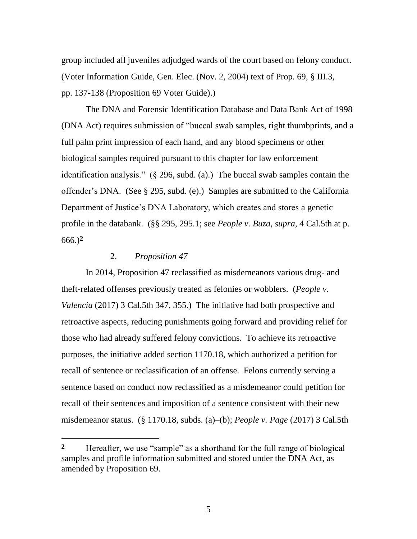group included all juveniles adjudged wards of the court based on felony conduct. (Voter Information Guide, Gen. Elec. (Nov. 2, 2004) text of Prop. 69, § III.3, pp. 137-138 (Proposition 69 Voter Guide).)

The DNA and Forensic Identification Database and Data Bank Act of 1998 (DNA Act) requires submission of "buccal swab samples, right thumbprints, and a full palm print impression of each hand, and any blood specimens or other biological samples required pursuant to this chapter for law enforcement identification analysis." (§ 296, subd. (a).) The buccal swab samples contain the offender's DNA. (See § 295, subd. (e).) Samples are submitted to the California Department of Justice's DNA Laboratory, which creates and stores a genetic profile in the databank. (§§ 295, 295.1; see *People v. Buza*, *supra*, 4 Cal.5th at p. 666.)**2** 

### 2. *Proposition 47*

 misdemeanor status. (§ 1170.18, subds. (a)–(b); *People v. Page* (2017) 3 Cal.5th In 2014, Proposition 47 reclassified as misdemeanors various drug- and theft-related offenses previously treated as felonies or wobblers. (*People v. Valencia* (2017) 3 Cal.5th 347, 355.) The initiative had both prospective and retroactive aspects, reducing punishments going forward and providing relief for those who had already suffered felony convictions. To achieve its retroactive purposes, the initiative added section 1170.18, which authorized a petition for recall of sentence or reclassification of an offense. Felons currently serving a sentence based on conduct now reclassified as a misdemeanor could petition for recall of their sentences and imposition of a sentence consistent with their new

Hereafter, we use "sample" as a shorthand for the full range of biological samples and profile information submitted and stored under the DNA Act, as amended by Proposition 69. **2**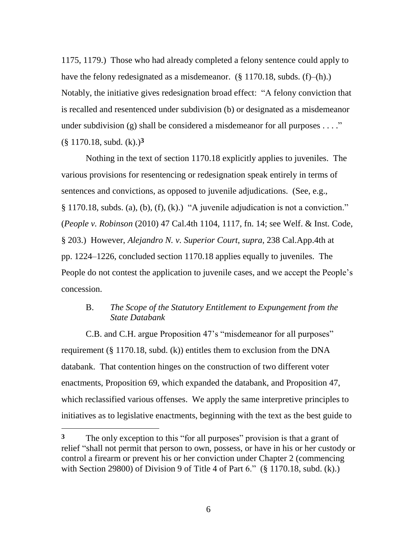1175, 1179.) Those who had already completed a felony sentence could apply to have the felony redesignated as a misdemeanor.  $(\S 1170.18, \text{subds. (f)}-(h))$ . Notably, the initiative gives redesignation broad effect: "A felony conviction that is recalled and resentenced under subdivision (b) or designated as a misdemeanor under subdivision (g) shall be considered a misdemeanor for all purposes  $\dots$ ." (§ 1170.18, subd. (k).)**3** 

 various provisions for resentencing or redesignation speak entirely in terms of Nothing in the text of section 1170.18 explicitly applies to juveniles. The sentences and convictions, as opposed to juvenile adjudications. (See, e.g., § 1170.18, subds. (a), (b), (f), (k).) "A juvenile adjudication is not a conviction." (*People v. Robinson* (2010) 47 Cal.4th 1104, 1117, fn. 14; see Welf. & Inst. Code, § 203.) However, *Alejandro N. v. Superior Court*, *supra*, 238 Cal.App.4th at pp. 1224–1226, concluded section 1170.18 applies equally to juveniles. The People do not contest the application to juvenile cases, and we accept the People's concession.

# B. *The Scope of the Statutory Entitlement to Expungement from the State Databank*

C.B. and C.H. argue Proposition 47's "misdemeanor for all purposes" requirement  $(\S 1170.18, \text{subd.} (k))$  entitles them to exclusion from the DNA databank. That contention hinges on the construction of two different voter enactments, Proposition 69, which expanded the databank, and Proposition 47, which reclassified various offenses. We apply the same interpretive principles to initiatives as to legislative enactments, beginning with the text as the best guide to

 with Section 29800) of Division 9 of Title 4 of Part 6." (§ 1170.18, subd. (k).) The only exception to this "for all purposes" provision is that a grant of relief "shall not permit that person to own, possess, or have in his or her custody or control a firearm or prevent his or her conviction under Chapter 2 (commencing **3**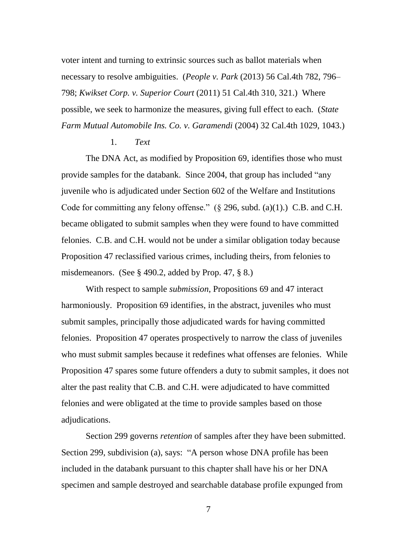798; *Kwikset Corp. v. Superior Court* (2011) 51 Cal.4th 310, 321.) Where voter intent and turning to extrinsic sources such as ballot materials when necessary to resolve ambiguities. (*People v. Park* (2013) 56 Cal.4th 782, 796– possible, we seek to harmonize the measures, giving full effect to each. (*State Farm Mutual Automobile Ins. Co. v. Garamendi* (2004) 32 Cal.4th 1029, 1043.)

### 1. *Text*

 provide samples for the databank. Since 2004, that group has included "any The DNA Act, as modified by Proposition 69, identifies those who must juvenile who is adjudicated under Section 602 of the Welfare and Institutions Code for committing any felony offense."  $(\S$  296, subd. (a)(1).) C.B. and C.H. became obligated to submit samples when they were found to have committed felonies. C.B. and C.H. would not be under a similar obligation today because Proposition 47 reclassified various crimes, including theirs, from felonies to misdemeanors. (See § 490.2, added by Prop. 47, § 8.)

 who must submit samples because it redefines what offenses are felonies. While With respect to sample *submission*, Propositions 69 and 47 interact harmoniously. Proposition 69 identifies, in the abstract, juveniles who must submit samples, principally those adjudicated wards for having committed felonies. Proposition 47 operates prospectively to narrow the class of juveniles Proposition 47 spares some future offenders a duty to submit samples, it does not alter the past reality that C.B. and C.H. were adjudicated to have committed felonies and were obligated at the time to provide samples based on those adjudications.

Section 299 governs *retention* of samples after they have been submitted. Section 299, subdivision (a), says: "A person whose DNA profile has been included in the databank pursuant to this chapter shall have his or her DNA specimen and sample destroyed and searchable database profile expunged from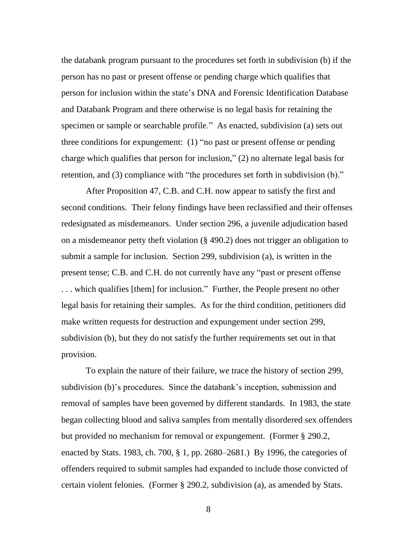specimen or sample or searchable profile." As enacted, subdivision (a) sets out three conditions for expungement: (1) "no past or present offense or pending the databank program pursuant to the procedures set forth in subdivision (b) if the person has no past or present offense or pending charge which qualifies that person for inclusion within the state's DNA and Forensic Identification Database and Databank Program and there otherwise is no legal basis for retaining the charge which qualifies that person for inclusion," (2) no alternate legal basis for retention, and (3) compliance with "the procedures set forth in subdivision (b)."

 legal basis for retaining their samples. As for the third condition, petitioners did After Proposition 47, C.B. and C.H. now appear to satisfy the first and second conditions. Their felony findings have been reclassified and their offenses redesignated as misdemeanors. Under section 296, a juvenile adjudication based on a misdemeanor petty theft violation (§ 490.2) does not trigger an obligation to submit a sample for inclusion. Section 299, subdivision (a), is written in the present tense; C.B. and C.H. do not currently have any "past or present offense . . . which qualifies [them] for inclusion." Further, the People present no other make written requests for destruction and expungement under section 299, subdivision (b), but they do not satisfy the further requirements set out in that provision.

 To explain the nature of their failure, we trace the history of section 299, removal of samples have been governed by different standards. In 1983, the state subdivision (b)'s procedures. Since the databank's inception, submission and began collecting blood and saliva samples from mentally disordered sex offenders but provided no mechanism for removal or expungement. (Former § 290.2, enacted by Stats. 1983, ch. 700, § 1, pp. 2680–2681.) By 1996, the categories of offenders required to submit samples had expanded to include those convicted of certain violent felonies. (Former § 290.2, subdivision (a), as amended by Stats.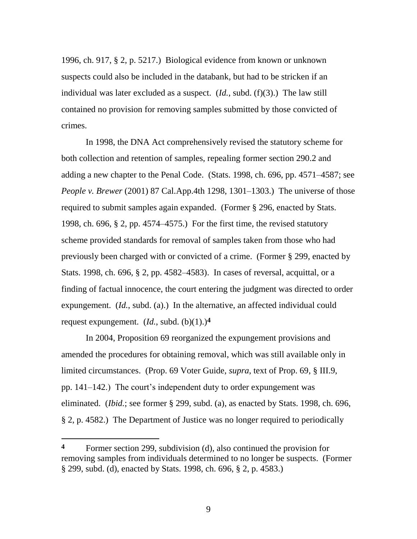1996, ch. 917, § 2, p. 5217.) Biological evidence from known or unknown suspects could also be included in the databank, but had to be stricken if an individual was later excluded as a suspect. (*Id.*, subd. (f)(3).) The law still contained no provision for removing samples submitted by those convicted of crimes.

 *People v. Brewer* (2001) 87 Cal.App.4th 1298, 1301–1303.) The universe of those 1998, ch. 696, § 2, pp. 4574–4575.) For the first time, the revised statutory Stats. 1998, ch. 696, § 2, pp. 4582–4583). In cases of reversal, acquittal, or a expungement. (*Id.*, subd. (a).) In the alternative, an affected individual could In 1998, the DNA Act comprehensively revised the statutory scheme for both collection and retention of samples, repealing former section 290.2 and adding a new chapter to the Penal Code. (Stats. 1998, ch. 696, pp. 4571–4587; see required to submit samples again expanded. (Former § 296, enacted by Stats. scheme provided standards for removal of samples taken from those who had previously been charged with or convicted of a crime. (Former § 299, enacted by finding of factual innocence, the court entering the judgment was directed to order request expungement.  $(Id, \text{ subd. } (b)(1).)^4$ 

 § 2, p. 4582.) The Department of Justice was no longer required to periodically In 2004, Proposition 69 reorganized the expungement provisions and amended the procedures for obtaining removal, which was still available only in limited circumstances. (Prop. 69 Voter Guide, *supra*, text of Prop. 69, § III.9, pp. 141–142.) The court's independent duty to order expungement was eliminated. (*Ibid.*; see former § 299, subd. (a), as enacted by Stats. 1998, ch. 696,

Former section 299, subdivision (d), also continued the provision for removing samples from individuals determined to no longer be suspects. (Former § 299, subd. (d), enacted by Stats. 1998, ch. 696, § 2, p. 4583.) **4**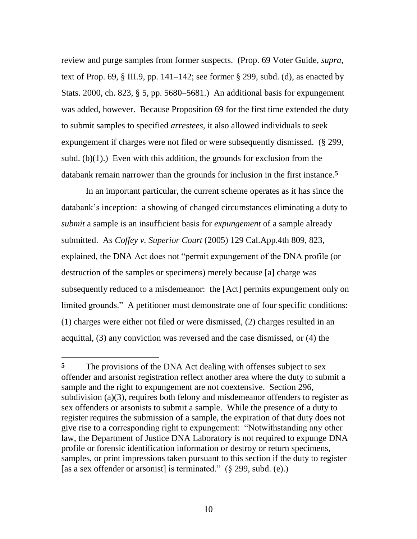Stats. 2000, ch. 823, § 5, pp. 5680–5681.) An additional basis for expungement subd.  $(b)(1)$ .) Even with this addition, the grounds for exclusion from the review and purge samples from former suspects. (Prop. 69 Voter Guide, *supra*, text of Prop. 69,  $\S$  III.9, pp. 141–142; see former  $\S$  299, subd. (d), as enacted by was added, however. Because Proposition 69 for the first time extended the duty to submit samples to specified *arrestees*, it also allowed individuals to seek expungement if charges were not filed or were subsequently dismissed. (§ 299, databank remain narrower than the grounds for inclusion in the first instance.**5** 

 submitted. As *Coffey v. Superior Court* (2005) 129 Cal.App.4th 809, 823, limited grounds." A petitioner must demonstrate one of four specific conditions: In an important particular, the current scheme operates as it has since the databank's inception: a showing of changed circumstances eliminating a duty to *submit* a sample is an insufficient basis for *expungement* of a sample already explained, the DNA Act does not "permit expungement of the DNA profile (or destruction of the samples or specimens) merely because [a] charge was subsequently reduced to a misdemeanor: the [Act] permits expungement only on (1) charges were either not filed or were dismissed, (2) charges resulted in an acquittal, (3) any conviction was reversed and the case dismissed, or (4) the

 $\overline{a}$ 

 register requires the submission of a sample, the expiration of that duty does not samples, or print impressions taken pursuant to this section if the duty to register <sup>5</sup> The provisions of the DNA Act dealing with offenses subject to sex offender and arsonist registration reflect another area where the duty to submit a sample and the right to expungement are not coextensive. Section 296, subdivision (a)(3), requires both felony and misdemeanor offenders to register as sex offenders or arsonists to submit a sample. While the presence of a duty to give rise to a corresponding right to expungement: "Notwithstanding any other law, the Department of Justice DNA Laboratory is not required to expunge DNA profile or forensic identification information or destroy or return specimens, [as a sex offender or arsonist] is terminated."  $(\S$  299, subd. (e).)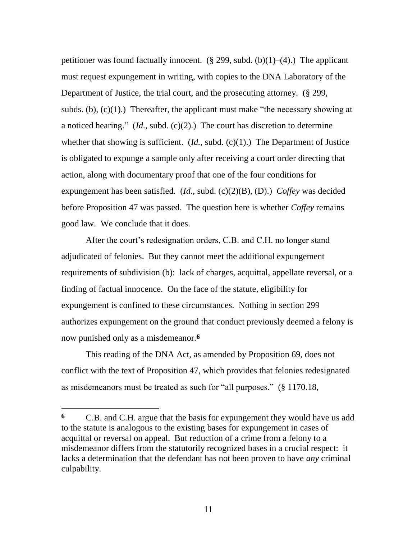a noticed hearing." (*Id.*, subd. (c)(2).) The court has discretion to determine whether that showing is sufficient. (*Id.*, subd. (c)(1).) The Department of Justice expungement has been satisfied. (*Id.*, subd. (c)(2)(B), (D).) *Coffey* was decided petitioner was found factually innocent.  $(\S 299, \text{subd. (b)}(1)–(4))$ . The applicant must request expungement in writing, with copies to the DNA Laboratory of the Department of Justice, the trial court, and the prosecuting attorney. (§ 299, subds. (b),  $(c)(1)$ .) Thereafter, the applicant must make "the necessary showing at is obligated to expunge a sample only after receiving a court order directing that action, along with documentary proof that one of the four conditions for before Proposition 47 was passed. The question here is whether *Coffey* remains good law. We conclude that it does.

 finding of factual innocence. On the face of the statute, eligibility for After the court's redesignation orders, C.B. and C.H. no longer stand adjudicated of felonies. But they cannot meet the additional expungement requirements of subdivision (b): lack of charges, acquittal, appellate reversal, or a expungement is confined to these circumstances. Nothing in section 299 authorizes expungement on the ground that conduct previously deemed a felony is now punished only as a misdemeanor.**6** 

This reading of the DNA Act, as amended by Proposition 69, does not conflict with the text of Proposition 47, which provides that felonies redesignated as misdemeanors must be treated as such for "all purposes." (§ 1170.18,

C.B. and C.H. argue that the basis for expungement they would have us add to the statute is analogous to the existing bases for expungement in cases of acquittal or reversal on appeal. But reduction of a crime from a felony to a misdemeanor differs from the statutorily recognized bases in a crucial respect: it lacks a determination that the defendant has not been proven to have *any* criminal culpability. **6**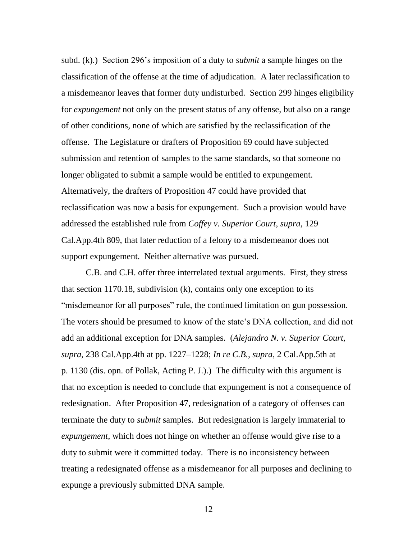subd. (k).) Section 296's imposition of a duty to *submit* a sample hinges on the classification of the offense at the time of adjudication. A later reclassification to a misdemeanor leaves that former duty undisturbed. Section 299 hinges eligibility for *expungement* not only on the present status of any offense, but also on a range of other conditions, none of which are satisfied by the reclassification of the offense. The Legislature or drafters of Proposition 69 could have subjected submission and retention of samples to the same standards, so that someone no longer obligated to submit a sample would be entitled to expungement. Alternatively, the drafters of Proposition 47 could have provided that reclassification was now a basis for expungement. Such a provision would have addressed the established rule from *Coffey v. Superior Court*, *supra*, 129 Cal.App.4th 809, that later reduction of a felony to a misdemeanor does not support expungement. Neither alternative was pursued.

 add an additional exception for DNA samples. (*Alejandro N. v. Superior Court*, p. 1130 (dis. opn. of Pollak, Acting P. J.).) The difficulty with this argument is C.B. and C.H. offer three interrelated textual arguments. First, they stress that section 1170.18, subdivision (k), contains only one exception to its "misdemeanor for all purposes" rule, the continued limitation on gun possession. The voters should be presumed to know of the state's DNA collection, and did not *supra*, 238 Cal.App.4th at pp. 1227–1228; *In re C.B.*, *supra*, 2 Cal.App.5th at that no exception is needed to conclude that expungement is not a consequence of redesignation. After Proposition 47, redesignation of a category of offenses can terminate the duty to *submit* samples. But redesignation is largely immaterial to *expungement*, which does not hinge on whether an offense would give rise to a duty to submit were it committed today. There is no inconsistency between treating a redesignated offense as a misdemeanor for all purposes and declining to expunge a previously submitted DNA sample.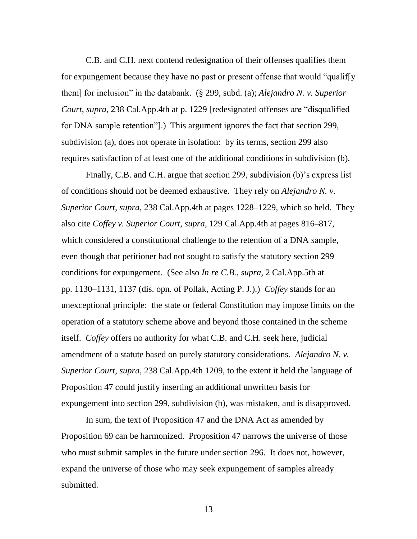C.B. and C.H. next contend redesignation of their offenses qualifies them for expungement because they have no past or present offense that would "qualif[y them] for inclusion" in the databank. (§ 299, subd. (a); *Alejandro N. v. Superior Court*, *supra*, 238 Cal.App.4th at p. 1229 [redesignated offenses are "disqualified for DNA sample retention"].) This argument ignores the fact that section 299, subdivision (a), does not operate in isolation: by its terms, section 299 also requires satisfaction of at least one of the additional conditions in subdivision (b).

 pp. 1130–1131, 1137 (dis. opn. of Pollak, Acting P. J.).) *Coffey* stands for an Finally, C.B. and C.H. argue that section 299, subdivision (b)'s express list of conditions should not be deemed exhaustive. They rely on *Alejandro N. v. Superior Court*, *supra*, 238 Cal.App.4th at pages 1228–1229, which so held. They also cite *Coffey v. Superior Court*, *supra*, 129 Cal.App.4th at pages 816–817, which considered a constitutional challenge to the retention of a DNA sample, even though that petitioner had not sought to satisfy the statutory section 299 conditions for expungement. (See also *In re C.B.*, *supra*, 2 Cal.App.5th at unexceptional principle: the state or federal Constitution may impose limits on the operation of a statutory scheme above and beyond those contained in the scheme itself. *Coffey* offers no authority for what C.B. and C.H. seek here, judicial amendment of a statute based on purely statutory considerations. *Alejandro N. v. Superior Court*, *supra*, 238 Cal.App.4th 1209, to the extent it held the language of Proposition 47 could justify inserting an additional unwritten basis for expungement into section 299, subdivision (b), was mistaken, and is disapproved.

In sum, the text of Proposition 47 and the DNA Act as amended by Proposition 69 can be harmonized. Proposition 47 narrows the universe of those who must submit samples in the future under section 296. It does not, however, expand the universe of those who may seek expungement of samples already submitted.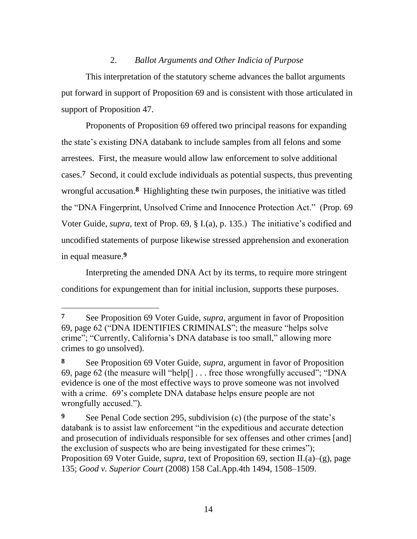## 2. *Ballot Arguments and Other Indicia of Purpose*

 This interpretation of the statutory scheme advances the ballot arguments put forward in support of Proposition 69 and is consistent with those articulated in support of Proposition 47.

 cases.**7** Second, it could exclude individuals as potential suspects, thus preventing wrongful accusation.**8** Highlighting these twin purposes, the initiative was titled Proponents of Proposition 69 offered two principal reasons for expanding the state's existing DNA databank to include samples from all felons and some arrestees. First, the measure would allow law enforcement to solve additional the "DNA Fingerprint, Unsolved Crime and Innocence Protection Act." (Prop. 69 Voter Guide, *supra*, text of Prop. 69, § I.(a), p. 135.) The initiative's codified and uncodified statements of purpose likewise stressed apprehension and exoneration in equal measure.**9** 

Interpreting the amended DNA Act by its terms, to require more stringent conditions for expungement than for initial inclusion, supports these purposes.

 $\overline{a}$ 

**<sup>7</sup>** See Proposition 69 Voter Guide, *supra*, argument in favor of Proposition 69, page 62 ("DNA IDENTIFIES CRIMINALS"; the measure "helps solve crime"; "Currently, California's DNA database is too small," allowing more crimes to go unsolved).

**<sup>8</sup>** See Proposition 69 Voter Guide, *supra*, argument in favor of Proposition 69, page 62 (the measure will "help[] . . . free those wrongfully accused"; "DNA evidence is one of the most effective ways to prove someone was not involved with a crime. 69's complete DNA database helps ensure people are not wrongfully accused.").

**<sup>9</sup>** See Penal Code section 295, subdivision (c) (the purpose of the state's databank is to assist law enforcement "in the expeditious and accurate detection and prosecution of individuals responsible for sex offenses and other crimes [and] the exclusion of suspects who are being investigated for these crimes"); Proposition 69 Voter Guide, *supra*, text of Proposition 69, section II.(a)–(g), page 135; *Good v. Superior Court* (2008) 158 Cal.App.4th 1494, 1508–1509.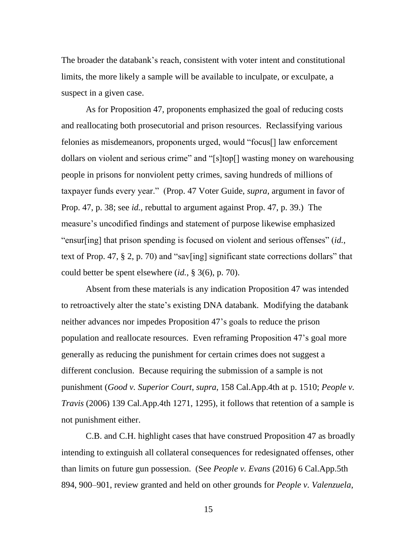The broader the databank's reach, consistent with voter intent and constitutional limits, the more likely a sample will be available to inculpate, or exculpate, a suspect in a given case.

 people in prisons for nonviolent petty crimes, saving hundreds of millions of Prop. 47, p. 38; see *id.*, rebuttal to argument against Prop. 47, p. 39.) The As for Proposition 47, proponents emphasized the goal of reducing costs and reallocating both prosecutorial and prison resources. Reclassifying various felonies as misdemeanors, proponents urged, would "focus[] law enforcement dollars on violent and serious crime" and "[s]top[] wasting money on warehousing taxpayer funds every year." (Prop. 47 Voter Guide, *supra*, argument in favor of measure's uncodified findings and statement of purpose likewise emphasized "ensur[ing] that prison spending is focused on violent and serious offenses" (*id.*, text of Prop. 47,  $\S 2$ , p. 70) and "sav[ing] significant state corrections dollars" that could better be spent elsewhere (*id.*, § 3(6), p. 70).

 to retroactively alter the state's existing DNA databank. Modifying the databank population and reallocate resources. Even reframing Proposition 47's goal more Absent from these materials is any indication Proposition 47 was intended neither advances nor impedes Proposition 47's goals to reduce the prison generally as reducing the punishment for certain crimes does not suggest a different conclusion. Because requiring the submission of a sample is not punishment (*Good v. Superior Court*, *supra*, 158 Cal.App.4th at p. 1510; *People v. Travis* (2006) 139 Cal.App.4th 1271, 1295), it follows that retention of a sample is not punishment either.

C.B. and C.H. highlight cases that have construed Proposition 47 as broadly intending to extinguish all collateral consequences for redesignated offenses, other than limits on future gun possession. (See *People v. Evans* (2016) 6 Cal.App.5th 894, 900–901, review granted and held on other grounds for *People v. Valenzuela*,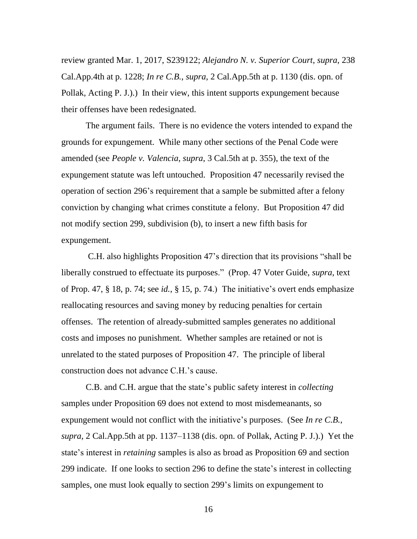review granted Mar. 1, 2017, S239122; *Alejandro N. v. Superior Court*, *supra*, 238 Cal.App.4th at p. 1228; *In re C.B.*, *supra*, 2 Cal.App.5th at p. 1130 (dis. opn. of Pollak, Acting P. J.).) In their view, this intent supports expungement because their offenses have been redesignated.

The argument fails. There is no evidence the voters intended to expand the grounds for expungement. While many other sections of the Penal Code were amended (see *People v. Valencia*, *supra*, 3 Cal.5th at p. 355), the text of the expungement statute was left untouched. Proposition 47 necessarily revised the operation of section 296's requirement that a sample be submitted after a felony conviction by changing what crimes constitute a felony. But Proposition 47 did not modify section 299, subdivision (b), to insert a new fifth basis for expungement.

 reallocating resources and saving money by reducing penalties for certain costs and imposes no punishment. Whether samples are retained or not is C.H. also highlights Proposition 47's direction that its provisions "shall be liberally construed to effectuate its purposes." (Prop. 47 Voter Guide, *supra*, text of Prop. 47, § 18, p. 74; see *id.*, § 15, p. 74.) The initiative's overt ends emphasize offenses. The retention of already-submitted samples generates no additional unrelated to the stated purposes of Proposition 47. The principle of liberal construction does not advance C.H.'s cause.

 *supra*, 2 Cal.App.5th at pp. 1137–1138 (dis. opn. of Pollak, Acting P. J.).) Yet the C.B. and C.H. argue that the state's public safety interest in *collecting*  samples under Proposition 69 does not extend to most misdemeanants, so expungement would not conflict with the initiative's purposes. (See *In re C.B.*, state's interest in *retaining* samples is also as broad as Proposition 69 and section 299 indicate. If one looks to section 296 to define the state's interest in collecting samples, one must look equally to section 299's limits on expungement to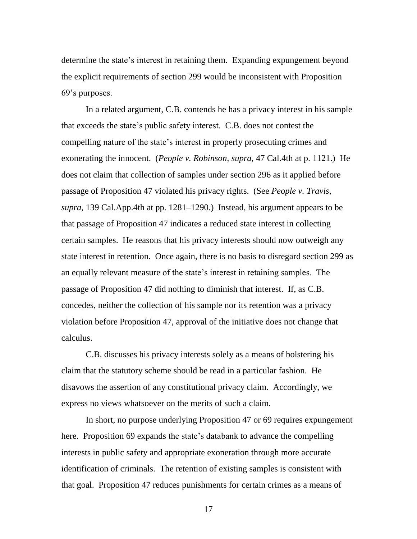determine the state's interest in retaining them. Expanding expungement beyond the explicit requirements of section 299 would be inconsistent with Proposition 69's purposes.

 that exceeds the state's public safety interest. C.B. does not contest the *supra*, 139 Cal.App.4th at pp. 1281–1290.) Instead, his argument appears to be an equally relevant measure of the state's interest in retaining samples. The In a related argument, C.B. contends he has a privacy interest in his sample compelling nature of the state's interest in properly prosecuting crimes and exonerating the innocent. (*People v. Robinson, supra,* 47 Cal.4th at p. 1121.) He does not claim that collection of samples under section 296 as it applied before passage of Proposition 47 violated his privacy rights. (See *People v. Travis*, that passage of Proposition 47 indicates a reduced state interest in collecting certain samples. He reasons that his privacy interests should now outweigh any state interest in retention. Once again, there is no basis to disregard section 299 as passage of Proposition 47 did nothing to diminish that interest. If, as C.B. concedes, neither the collection of his sample nor its retention was a privacy violation before Proposition 47, approval of the initiative does not change that calculus.

C.B. discusses his privacy interests solely as a means of bolstering his claim that the statutory scheme should be read in a particular fashion. He disavows the assertion of any constitutional privacy claim. Accordingly, we express no views whatsoever on the merits of such a claim.

 that goal. Proposition 47 reduces punishments for certain crimes as a means of In short, no purpose underlying Proposition 47 or 69 requires expungement here. Proposition 69 expands the state's databank to advance the compelling interests in public safety and appropriate exoneration through more accurate identification of criminals. The retention of existing samples is consistent with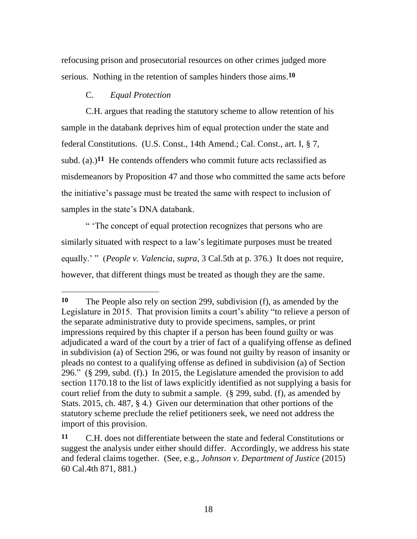refocusing prison and prosecutorial resources on other crimes judged more serious. Nothing in the retention of samples hinders those aims.**10** 

### C. *Equal Protection*

 subd. (a).)**11** He contends offenders who commit future acts reclassified as C.H. argues that reading the statutory scheme to allow retention of his sample in the databank deprives him of equal protection under the state and federal Constitutions. (U.S. Const., 14th Amend.; Cal. Const., art. I, § 7, misdemeanors by Proposition 47 and those who committed the same acts before the initiative's passage must be treated the same with respect to inclusion of samples in the state's DNA databank.

 however, that different things must be treated as though they are the same. " 'The concept of equal protection recognizes that persons who are similarly situated with respect to a law's legitimate purposes must be treated equally.' " (*People v. Valencia, supra,* 3 Cal.5th at p. 376.) It does not require,

 296." (§ 299, subd. (f).) In 2015, the Legislature amended the provision to add court relief from the duty to submit a sample. (§ 299, subd. (f), as amended by Stats. 2015, ch. 487, § 4.) Given our determination that other portions of the **10** The People also rely on section 299, subdivision (f), as amended by the Legislature in 2015. That provision limits a court's ability "to relieve a person of the separate administrative duty to provide specimens, samples, or print impressions required by this chapter if a person has been found guilty or was adjudicated a ward of the court by a trier of fact of a qualifying offense as defined in subdivision (a) of Section 296, or was found not guilty by reason of insanity or pleads no contest to a qualifying offense as defined in subdivision (a) of Section section 1170.18 to the list of laws explicitly identified as not supplying a basis for statutory scheme preclude the relief petitioners seek, we need not address the import of this provision.

**<sup>11</sup>** C.H. does not differentiate between the state and federal Constitutions or suggest the analysis under either should differ. Accordingly, we address his state and federal claims together. (See, e.g., *Johnson v. Department of Justice* (2015) 60 Cal.4th 871, 881.)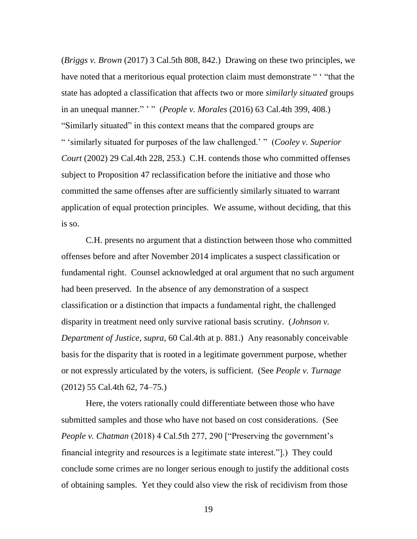(*Briggs v. Brown* (2017) 3 Cal.5th 808, 842.) Drawing on these two principles, we in an unequal manner." ' " (*People v. Morales* (2016) 63 Cal.4th 399, 408.) "Similarly situated" in this context means that the compared groups are application of equal protection principles. We assume, without deciding, that this have noted that a meritorious equal protection claim must demonstrate " "that the state has adopted a classification that affects two or more *similarly situated* groups " 'similarly situated for purposes of the law challenged.' " (*Cooley v. Superior Court* (2002) 29 Cal.4th 228, 253.) C.H. contends those who committed offenses subject to Proposition 47 reclassification before the initiative and those who committed the same offenses after are sufficiently similarly situated to warrant is so.

 disparity in treatment need only survive rational basis scrutiny. (*Johnson v. Department of Justice*, *supra*, 60 Cal.4th at p. 881.) Any reasonably conceivable C.H. presents no argument that a distinction between those who committed offenses before and after November 2014 implicates a suspect classification or fundamental right. Counsel acknowledged at oral argument that no such argument had been preserved. In the absence of any demonstration of a suspect classification or a distinction that impacts a fundamental right, the challenged basis for the disparity that is rooted in a legitimate government purpose, whether or not expressly articulated by the voters, is sufficient. (See *People v. Turnage*  (2012) 55 Cal.4th 62, 74–75.)

Here, the voters rationally could differentiate between those who have submitted samples and those who have not based on cost considerations. (See *People v. Chatman* (2018) 4 Cal.5th 277, 290 ["Preserving the government's financial integrity and resources is a legitimate state interest."].) They could conclude some crimes are no longer serious enough to justify the additional costs of obtaining samples. Yet they could also view the risk of recidivism from those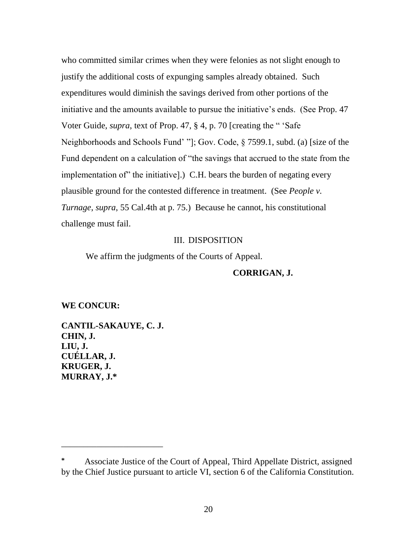implementation of" the initiative].) C.H. bears the burden of negating every *Turnage*, *supra*, 55 Cal.4th at p. 75.) Because he cannot, his constitutional who committed similar crimes when they were felonies as not slight enough to justify the additional costs of expunging samples already obtained. Such expenditures would diminish the savings derived from other portions of the initiative and the amounts available to pursue the initiative's ends. (See Prop. 47 Voter Guide, *supra*, text of Prop. 47, § 4, p. 70 [creating the " 'Safe Neighborhoods and Schools Fund' "]; Gov. Code, § 7599.1, subd. (a) [size of the Fund dependent on a calculation of "the savings that accrued to the state from the plausible ground for the contested difference in treatment. (See *People v.*  challenge must fail.

### III. DISPOSITION

We affirm the judgments of the Courts of Appeal.

### **CORRIGAN, J.**

#### **WE CONCUR:**

**CANTIL-SAKAUYE, C. J. CHIN, J. LIU, J. CUÉLLAR, J. KRUGER, J. MURRAY, J.\*** 

\_\_\_\_\_\_\_\_\_\_\_\_\_\_\_\_\_\_\_\_\_\_\_

Associate Justice of the Court of Appeal, Third Appellate District, assigned by the Chief Justice pursuant to article VI, section 6 of the California Constitution.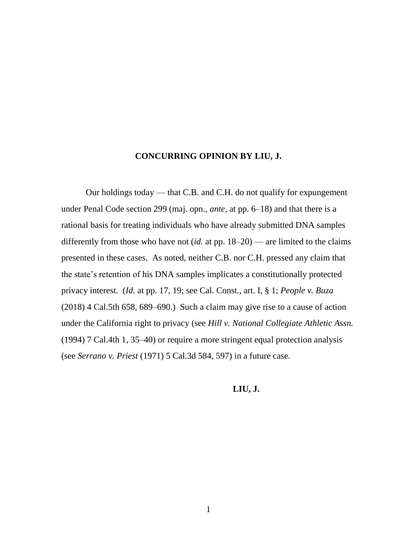### **CONCURRING OPINION BY LIU, J.**

Our holdings today — that C.B. and C.H. do not qualify for expungement under Penal Code section 299 (maj. opn., *ante*, at pp. 6–18) and that there is a rational basis for treating individuals who have already submitted DNA samples differently from those who have not (*id.* at pp. 18–20) — are limited to the claims presented in these cases. As noted, neither C.B. nor C.H. pressed any claim that the state's retention of his DNA samples implicates a constitutionally protected privacy interest. (*Id.* at pp. 17, 19; see Cal. Const., art. I, § 1; *People v. Buza*  (2018) 4 Cal.5th 658, 689–690.) Such a claim may give rise to a cause of action under the California right to privacy (see *Hill v. National Collegiate Athletic Assn.*  (1994) 7 Cal.4th 1, 35–40) or require a more stringent equal protection analysis (see *Serrano v. Priest* (1971) 5 Cal.3d 584, 597) in a future case.

### **LIU, J.**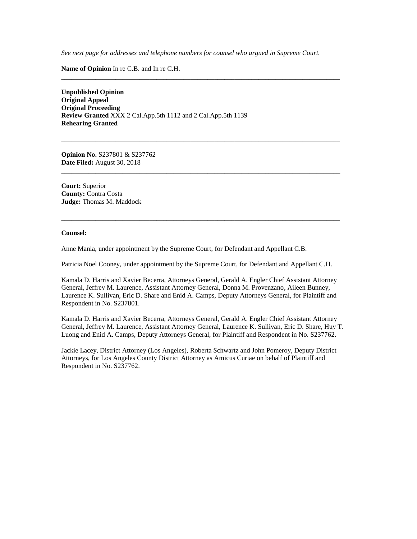*See next page for addresses and telephone numbers for counsel who argued in Supreme Court.* 

**\_\_\_\_\_\_\_\_\_\_\_\_\_\_\_\_\_\_\_\_\_\_\_\_\_\_\_\_\_\_\_\_\_\_\_\_\_\_\_\_\_\_\_\_\_\_\_\_\_\_\_\_\_\_\_\_\_\_\_\_\_\_\_\_\_\_\_\_\_\_\_\_\_\_\_\_\_\_\_\_\_\_** 

**\_\_\_\_\_\_\_\_\_\_\_\_\_\_\_\_\_\_\_\_\_\_\_\_\_\_\_\_\_\_\_\_\_\_\_\_\_\_\_\_\_\_\_\_\_\_\_\_\_\_\_\_\_\_\_\_\_\_\_\_\_\_\_\_\_\_\_\_\_\_\_\_\_\_\_\_\_\_\_\_\_\_** 

**\_\_\_\_\_\_\_\_\_\_\_\_\_\_\_\_\_\_\_\_\_\_\_\_\_\_\_\_\_\_\_\_\_\_\_\_\_\_\_\_\_\_\_\_\_\_\_\_\_\_\_\_\_\_\_\_\_\_\_\_\_\_\_\_\_\_\_\_\_\_\_\_\_\_\_\_\_\_\_\_\_\_** 

**\_\_\_\_\_\_\_\_\_\_\_\_\_\_\_\_\_\_\_\_\_\_\_\_\_\_\_\_\_\_\_\_\_\_\_\_\_\_\_\_\_\_\_\_\_\_\_\_\_\_\_\_\_\_\_\_\_\_\_\_\_\_\_\_\_\_\_\_\_\_\_\_\_\_\_\_\_\_\_\_\_\_** 

**Name of Opinion** In re C.B. and In re C.H.

 **Review Granted** XXX 2 Cal.App.5th 1112 and 2 Cal.App.5th 1139 **Unpublished Opinion Original Appeal Original Proceeding Rehearing Granted** 

 **Opinion No.** S237801 & S237762 **Date Filed:** August 30, 2018

**Court:** Superior **County:** Contra Costa **Judge:** Thomas M. Maddock

#### **Counsel:**

Anne Mania, under appointment by the Supreme Court, for Defendant and Appellant C.B.

Patricia Noel Cooney, under appointment by the Supreme Court, for Defendant and Appellant C.H.

 Kamala D. Harris and Xavier Becerra, Attorneys General, Gerald A. Engler Chief Assistant Attorney General, Jeffrey M. Laurence, Assistant Attorney General, Donna M. Provenzano, Aileen Bunney, Laurence K. Sullivan, Eric D. Share and Enid A. Camps, Deputy Attorneys General, for Plaintiff and Respondent in No. S237801.

 Kamala D. Harris and Xavier Becerra, Attorneys General, Gerald A. Engler Chief Assistant Attorney General, Jeffrey M. Laurence, Assistant Attorney General, Laurence K. Sullivan, Eric D. Share, Huy T. Luong and Enid A. Camps, Deputy Attorneys General, for Plaintiff and Respondent in No. S237762.

 Jackie Lacey, District Attorney (Los Angeles), Roberta Schwartz and John Pomeroy, Deputy District Attorneys, for Los Angeles County District Attorney as Amicus Curiae on behalf of Plaintiff and Respondent in No. S237762.